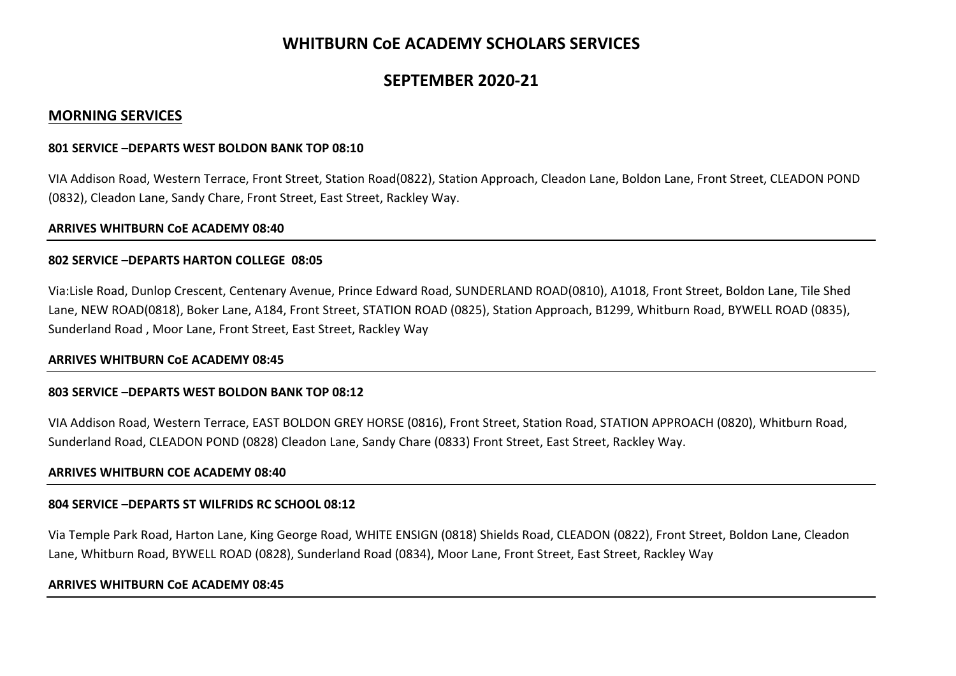# **WHITBURN CoE ACADEMY SCHOLARS SERVICES**

# **SEPTEMBER 2020‐21**

# **MORNING SERVICES**

#### **801 SERVICE –DEPARTS WEST BOLDON BANK TOP 08:10**

VIA Addison Road, Western Terrace, Front Street, Station Road(0822), Station Approach, Cleadon Lane, Boldon Lane, Front Street, CLEADON POND (0832), Cleadon Lane, Sandy Chare, Front Street, East Street, Rackley Way.

### **ARRIVES WHITBURN CoE ACADEMY 08:40**

#### **802 SERVICE –DEPARTS HARTON COLLEGE 08:05**

Via:Lisle Road, Dunlop Crescent, Centenary Avenue, Prince Edward Road, SUNDERLAND ROAD(0810), A1018, Front Street, Boldon Lane, Tile Shed Lane, NEW ROAD(0818), Boker Lane, A184, Front Street, STATION ROAD (0825), Station Approach, B1299, Whitburn Road, BYWELL ROAD (0835), Sunderland Road , Moor Lane, Front Street, East Street, Rackley Way

### **ARRIVES WHITBURN CoE ACADEMY 08:45**

### **803 SERVICE –DEPARTS WEST BOLDON BANK TOP 08:12**

VIA Addison Road, Western Terrace, EAST BOLDON GREY HORSE (0816), Front Street, Station Road, STATION APPROACH (0820), Whitburn Road, Sunderland Road, CLEADON POND (0828) Cleadon Lane, Sandy Chare (0833) Front Street, East Street, Rackley Way.

### **ARRIVES WHITBURN COE ACADEMY 08:40**

### **804 SERVICE –DEPARTS ST WILFRIDS RC SCHOOL 08:12**

Via Temple Park Road, Harton Lane, King George Road, WHITE ENSIGN (0818) Shields Road, CLEADON (0822), Front Street, Boldon Lane, Cleadon Lane, Whitburn Road, BYWELL ROAD (0828), Sunderland Road (0834), Moor Lane, Front Street, East Street, Rackley Way

#### **ARRIVES WHITBURN CoE ACADEMY 08:45**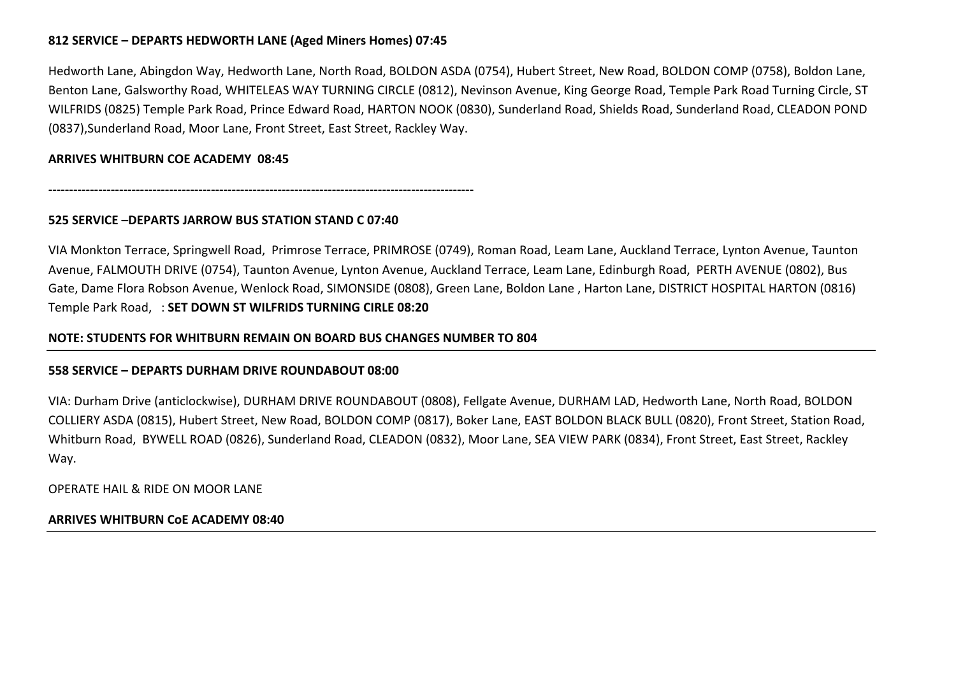## **812 SERVICE – DEPARTS HEDWORTH LANE (Aged Miners Homes) 07:45**

Hedworth Lane, Abingdon Way, Hedworth Lane, North Road, BOLDON ASDA (0754), Hubert Street, New Road, BOLDON COMP (0758), Boldon Lane, Benton Lane, Galsworthy Road, WHITELEAS WAY TURNING CIRCLE (0812), Nevinson Avenue, King George Road, Temple Park Road Turning Circle, ST WILFRIDS (0825) Temple Park Road, Prince Edward Road, HARTON NOOK (0830), Sunderland Road, Shields Road, Sunderland Road, CLEADON POND (0837),Sunderland Road, Moor Lane, Front Street, East Street, Rackley Way.

### **ARRIVES WHITBURN COE ACADEMY 08:45**

**‐‐‐‐‐‐‐‐‐‐‐‐‐‐‐‐‐‐‐‐‐‐‐‐‐‐‐‐‐‐‐‐‐‐‐‐‐‐‐‐‐‐‐‐‐‐‐‐‐‐‐‐‐‐‐‐‐‐‐‐‐‐‐‐‐‐‐‐‐‐‐‐‐‐‐‐‐‐‐‐‐‐‐‐‐‐‐‐‐‐‐‐‐‐‐‐‐‐‐‐‐‐**

### **525 SERVICE –DEPARTS JARROW BUS STATION STAND C 07:40**

VIA Monkton Terrace, Springwell Road, Primrose Terrace, PRIMROSE (0749), Roman Road, Leam Lane, Auckland Terrace, Lynton Avenue, Taunton Avenue, FALMOUTH DRIVE (0754), Taunton Avenue, Lynton Avenue, Auckland Terrace, Leam Lane, Edinburgh Road, PERTH AVENUE (0802), Bus Gate, Dame Flora Robson Avenue, Wenlock Road, SIMONSIDE (0808), Green Lane, Boldon Lane , Harton Lane, DISTRICT HOSPITAL HARTON (0816) Temple Park Road, : **SET DOWN ST WILFRIDS TURNING CIRLE 08:20** 

### **NOTE: STUDENTS FOR WHITBURN REMAIN ON BOARD BUS CHANGES NUMBER TO 804**

### **558 SERVICE – DEPARTS DURHAM DRIVE ROUNDABOUT 08:00**

VIA: Durham Drive (anticlockwise), DURHAM DRIVE ROUNDABOUT (0808), Fellgate Avenue, DURHAM LAD, Hedworth Lane, North Road, BOLDON COLLIERY ASDA (0815), Hubert Street, New Road, BOLDON COMP (0817), Boker Lane, EAST BOLDON BLACK BULL (0820), Front Street, Station Road, Whitburn Road, BYWELL ROAD (0826), Sunderland Road, CLEADON (0832), Moor Lane, SEA VIEW PARK (0834), Front Street, East Street, Rackley Way.

OPERATE HAIL & RIDE ON MOOR LANE

### **ARRIVES WHITBURN CoE ACADEMY 08:40**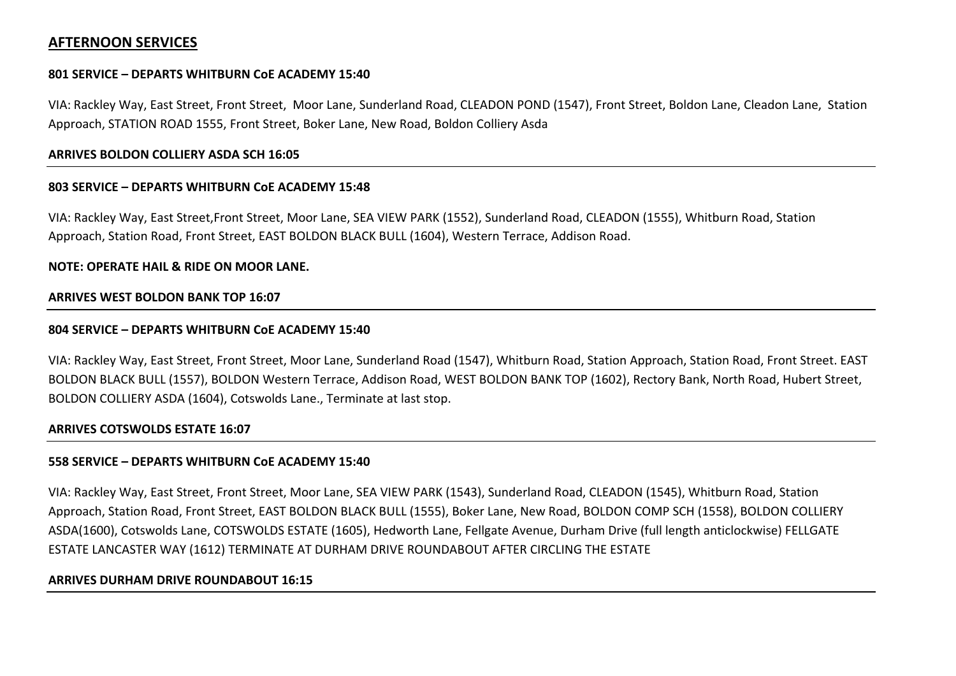# **AFTERNOON SERVICES**

### **801 SERVICE – DEPARTS WHITBURN CoE ACADEMY 15:40**

VIA: Rackley Way, East Street, Front Street, Moor Lane, Sunderland Road, CLEADON POND (1547), Front Street, Boldon Lane, Cleadon Lane, Station Approach, STATION ROAD 1555, Front Street, Boker Lane, New Road, Boldon Colliery Asda

### **ARRIVES BOLDON COLLIERY ASDA SCH 16:05**

### **803 SERVICE – DEPARTS WHITBURN CoE ACADEMY 15:48**

VIA: Rackley Way, East Street,Front Street, Moor Lane, SEA VIEW PARK (1552), Sunderland Road, CLEADON (1555), Whitburn Road, Station Approach, Station Road, Front Street, EAST BOLDON BLACK BULL (1604), Western Terrace, Addison Road.

### **NOTE: OPERATE HAIL & RIDE ON MOOR LANE.**

### **ARRIVES WEST BOLDON BANK TOP 16:07**

### **804 SERVICE – DEPARTS WHITBURN CoE ACADEMY 15:40**

VIA: Rackley Way, East Street, Front Street, Moor Lane, Sunderland Road (1547), Whitburn Road, Station Approach, Station Road, Front Street. EAST BOLDON BLACK BULL (1557), BOLDON Western Terrace, Addison Road, WEST BOLDON BANK TOP (1602), Rectory Bank, North Road, Hubert Street, BOLDON COLLIERY ASDA (1604), Cotswolds Lane., Terminate at last stop.

### **ARRIVES COTSWOLDS ESTATE 16:07**

### **558 SERVICE – DEPARTS WHITBURN CoE ACADEMY 15:40**

VIA: Rackley Way, East Street, Front Street, Moor Lane, SEA VIEW PARK (1543), Sunderland Road, CLEADON (1545), Whitburn Road, Station Approach, Station Road, Front Street, EAST BOLDON BLACK BULL (1555), Boker Lane, New Road, BOLDON COMP SCH (1558), BOLDON COLLIERY ASDA(1600), Cotswolds Lane, COTSWOLDS ESTATE (1605), Hedworth Lane, Fellgate Avenue, Durham Drive (full length anticlockwise) FELLGATE ESTATE LANCASTER WAY (1612) TERMINATE AT DURHAM DRIVE ROUNDABOUT AFTER CIRCLING THE ESTATE

### **ARRIVES DURHAM DRIVE ROUNDABOUT 16:15**